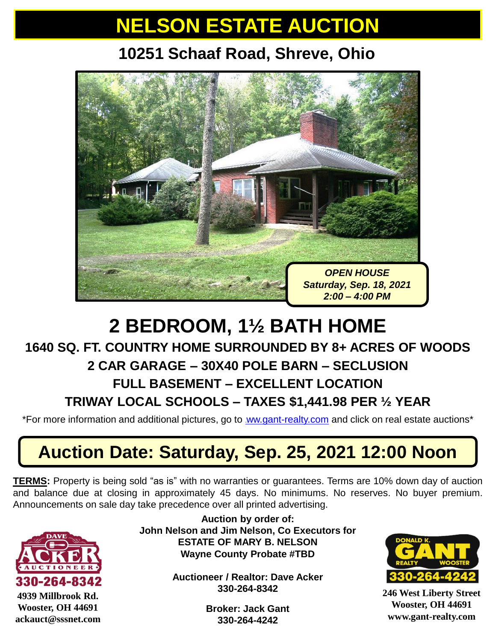# **NELSON ESTATE AUCTION**

## **10251 Schaaf Road, Shreve, Ohio**



## **2 BEDROOM, 1½ BATH HOME**

### **1640 SQ. FT. COUNTRY HOME SURROUNDED BY 8+ ACRES OF WOODS**

### **2 CAR GARAGE – 30X40 POLE BARN – SECLUSION**

#### **FULL BASEMENT – EXCELLENT LOCATION**

#### **TRIWAY LOCAL SCHOOLS – TAXES \$1,441.98 PER ½ YEAR**

\*For more information and additional pictures, go to [ww.gant-realty.com](http://www.gant-realty.com/) and click on real estate auctions\*

## **Auction Date: Saturday, Sep. 25, 2021 12:00 Noon**

**TERMS:** Property is being sold "as is" with no warranties or guarantees. Terms are 10% down day of auction and balance due at closing in approximately 45 days. No minimums. No reserves. No buyer premium. Announcements on sale day take precedence over all printed advertising.



**Auction by order of: John Nelson and Jim Nelson, Co Executors for ESTATE OF MARY B. NELSON Wayne County Probate #TBD** 

> **Auctioneer / Realtor: Dave Acker 330-264-8342**

> > **Broker: Jack Gant 330-264-4242**



**246 West Liberty Street Wooster, OH 44691 www.gant-realty.com**